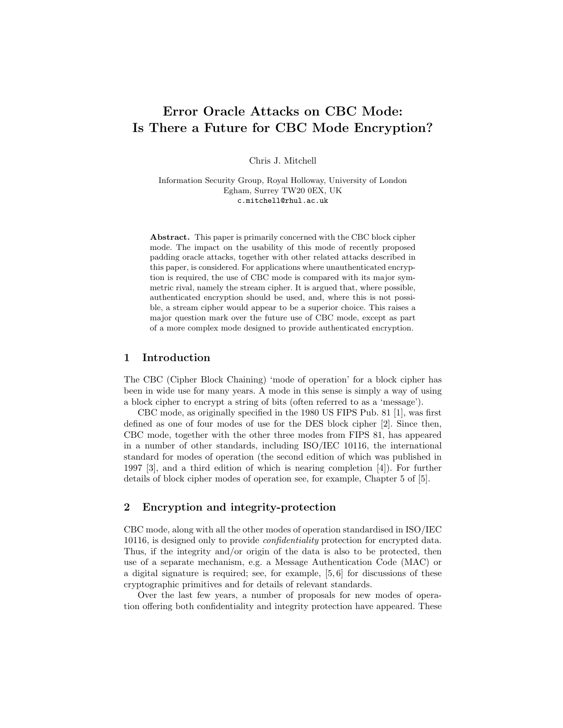# Error Oracle Attacks on CBC Mode: Is There a Future for CBC Mode Encryption?

Chris J. Mitchell

Information Security Group, Royal Holloway, University of London Egham, Surrey TW20 0EX, UK c.mitchell@rhul.ac.uk

Abstract. This paper is primarily concerned with the CBC block cipher mode. The impact on the usability of this mode of recently proposed padding oracle attacks, together with other related attacks described in this paper, is considered. For applications where unauthenticated encryption is required, the use of CBC mode is compared with its major symmetric rival, namely the stream cipher. It is argued that, where possible, authenticated encryption should be used, and, where this is not possible, a stream cipher would appear to be a superior choice. This raises a major question mark over the future use of CBC mode, except as part of a more complex mode designed to provide authenticated encryption.

# 1 Introduction

The CBC (Cipher Block Chaining) 'mode of operation' for a block cipher has been in wide use for many years. A mode in this sense is simply a way of using a block cipher to encrypt a string of bits (often referred to as a 'message').

CBC mode, as originally specified in the 1980 US FIPS Pub. 81 [1], was first defined as one of four modes of use for the DES block cipher [2]. Since then, CBC mode, together with the other three modes from FIPS 81, has appeared in a number of other standards, including ISO/IEC 10116, the international standard for modes of operation (the second edition of which was published in 1997 [3], and a third edition of which is nearing completion [4]). For further details of block cipher modes of operation see, for example, Chapter 5 of [5].

# 2 Encryption and integrity-protection

CBC mode, along with all the other modes of operation standardised in ISO/IEC 10116, is designed only to provide confidentiality protection for encrypted data. Thus, if the integrity and/or origin of the data is also to be protected, then use of a separate mechanism, e.g. a Message Authentication Code (MAC) or a digital signature is required; see, for example, [5, 6] for discussions of these cryptographic primitives and for details of relevant standards.

Over the last few years, a number of proposals for new modes of operation offering both confidentiality and integrity protection have appeared. These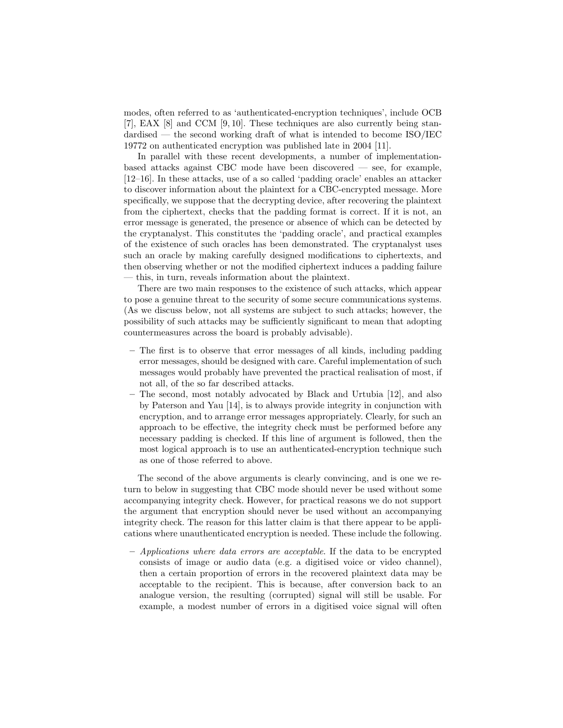modes, often referred to as 'authenticated-encryption techniques', include OCB [7], EAX [8] and CCM [9, 10]. These techniques are also currently being standardised — the second working draft of what is intended to become ISO/IEC 19772 on authenticated encryption was published late in 2004 [11].

In parallel with these recent developments, a number of implementationbased attacks against CBC mode have been discovered — see, for example, [12–16]. In these attacks, use of a so called 'padding oracle' enables an attacker to discover information about the plaintext for a CBC-encrypted message. More specifically, we suppose that the decrypting device, after recovering the plaintext from the ciphertext, checks that the padding format is correct. If it is not, an error message is generated, the presence or absence of which can be detected by the cryptanalyst. This constitutes the 'padding oracle', and practical examples of the existence of such oracles has been demonstrated. The cryptanalyst uses such an oracle by making carefully designed modifications to ciphertexts, and then observing whether or not the modified ciphertext induces a padding failure — this, in turn, reveals information about the plaintext.

There are two main responses to the existence of such attacks, which appear to pose a genuine threat to the security of some secure communications systems. (As we discuss below, not all systems are subject to such attacks; however, the possibility of such attacks may be sufficiently significant to mean that adopting countermeasures across the board is probably advisable).

- The first is to observe that error messages of all kinds, including padding error messages, should be designed with care. Careful implementation of such messages would probably have prevented the practical realisation of most, if not all, of the so far described attacks.
- The second, most notably advocated by Black and Urtubia [12], and also by Paterson and Yau [14], is to always provide integrity in conjunction with encryption, and to arrange error messages appropriately. Clearly, for such an approach to be effective, the integrity check must be performed before any necessary padding is checked. If this line of argument is followed, then the most logical approach is to use an authenticated-encryption technique such as one of those referred to above.

The second of the above arguments is clearly convincing, and is one we return to below in suggesting that CBC mode should never be used without some accompanying integrity check. However, for practical reasons we do not support the argument that encryption should never be used without an accompanying integrity check. The reason for this latter claim is that there appear to be applications where unauthenticated encryption is needed. These include the following.

 $-$  Applications where data errors are acceptable. If the data to be encrypted consists of image or audio data (e.g. a digitised voice or video channel), then a certain proportion of errors in the recovered plaintext data may be acceptable to the recipient. This is because, after conversion back to an analogue version, the resulting (corrupted) signal will still be usable. For example, a modest number of errors in a digitised voice signal will often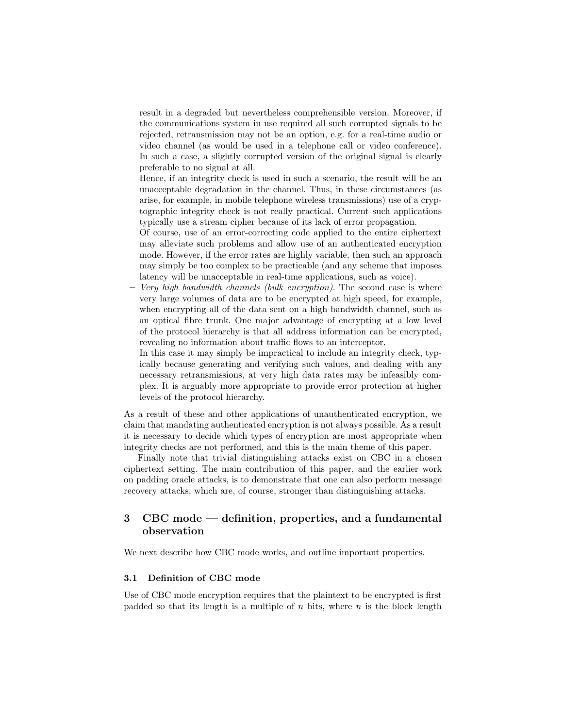result in a degraded but nevertheless comprehensible version. Moreover, if the communications system in use required all such corrupted signals to be rejected, retransmission may not be an option, e.g. for a real-time audio or video channel (as would be used in a telephone call or video conference). In such a case, a slightly corrupted version of the original signal is clearly preferable to no signal at all.

Hence, if an integrity check is used in such a scenario, the result will be an unacceptable degradation in the channel. Thus, in these circumstances (as arise, for example, in mobile telephone wireless transmissions) use of a cryptographic integrity check is not really practical. Current such applications typically use a stream cipher because of its lack of error propagation.

Of course, use of an error-correcting code applied to the entire ciphertext may alleviate such problems and allow use of an authenticated encryption mode. However, if the error rates are highly variable, then such an approach may simply be too complex to be practicable (and any scheme that imposes latency will be unacceptable in real-time applications, such as voice).

 $-$  Very high bandwidth channels (bulk encryption). The second case is where very large volumes of data are to be encrypted at high speed, for example, when encrypting all of the data sent on a high bandwidth channel, such as an optical fibre trunk. One major advantage of encrypting at a low level of the protocol hierarchy is that all address information can be encrypted, revealing no information about traffic flows to an interceptor.

In this case it may simply be impractical to include an integrity check, typically because generating and verifying such values, and dealing with any necessary retransmissions, at very high data rates may be infeasibly complex. It is arguably more appropriate to provide error protection at higher levels of the protocol hierarchy.

As a result of these and other applications of unauthenticated encryption, we claim that mandating authenticated encryption is not always possible. As a result it is necessary to decide which types of encryption are most appropriate when integrity checks are not performed, and this is the main theme of this paper.

Finally note that trivial distinguishing attacks exist on CBC in a chosen ciphertext setting. The main contribution of this paper, and the earlier work on padding oracle attacks, is to demonstrate that one can also perform message recovery attacks, which are, of course, stronger than distinguishing attacks.

# 3 CBC mode — definition, properties, and a fundamental observation

We next describe how CBC mode works, and outline important properties.

#### 3.1 Definition of CBC mode

Use of CBC mode encryption requires that the plaintext to be encrypted is first padded so that its length is a multiple of n bits, where n is the block length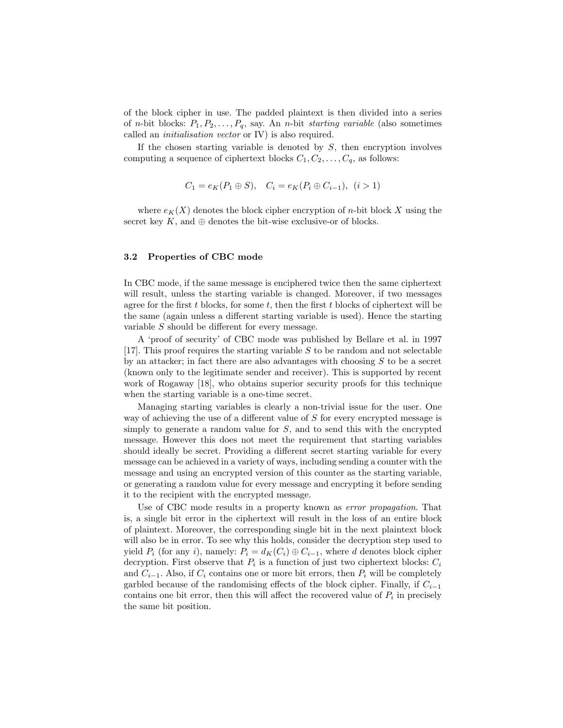of the block cipher in use. The padded plaintext is then divided into a series of *n*-bit blocks:  $P_1, P_2, \ldots, P_q$ , say. An *n*-bit *starting variable* (also sometimes called an initialisation vector or IV) is also required.

If the chosen starting variable is denoted by  $S$ , then encryption involves computing a sequence of ciphertext blocks  $C_1, C_2, \ldots, C_q$ , as follows:

$$
C_1 = e_K(P_1 \oplus S), \quad C_i = e_K(P_i \oplus C_{i-1}), \ (i > 1)
$$

where  $e_K(X)$  denotes the block cipher encryption of *n*-bit block X using the secret key  $K$ , and  $\oplus$  denotes the bit-wise exclusive-or of blocks.

#### 3.2 Properties of CBC mode

In CBC mode, if the same message is enciphered twice then the same ciphertext will result, unless the starting variable is changed. Moreover, if two messages agree for the first t blocks, for some t, then the first t blocks of ciphertext will be the same (again unless a different starting variable is used). Hence the starting variable S should be different for every message.

A 'proof of security' of CBC mode was published by Bellare et al. in 1997 [17]. This proof requires the starting variable S to be random and not selectable by an attacker; in fact there are also advantages with choosing  $S$  to be a secret (known only to the legitimate sender and receiver). This is supported by recent work of Rogaway [18], who obtains superior security proofs for this technique when the starting variable is a one-time secret.

Managing starting variables is clearly a non-trivial issue for the user. One way of achieving the use of a different value of S for every encrypted message is simply to generate a random value for  $S$ , and to send this with the encrypted message. However this does not meet the requirement that starting variables should ideally be secret. Providing a different secret starting variable for every message can be achieved in a variety of ways, including sending a counter with the message and using an encrypted version of this counter as the starting variable, or generating a random value for every message and encrypting it before sending it to the recipient with the encrypted message.

Use of CBC mode results in a property known as *error propagation*. That is, a single bit error in the ciphertext will result in the loss of an entire block of plaintext. Moreover, the corresponding single bit in the next plaintext block will also be in error. To see why this holds, consider the decryption step used to yield  $P_i$  (for any i), namely:  $P_i = d_K(C_i) \oplus C_{i-1}$ , where d denotes block cipher decryption. First observe that  $P_i$  is a function of just two ciphertext blocks:  $C_i$ and  $C_{i-1}$ . Also, if  $C_i$  contains one or more bit errors, then  $P_i$  will be completely garbled because of the randomising effects of the block cipher. Finally, if  $C_{i-1}$ contains one bit error, then this will affect the recovered value of  $P_i$  in precisely the same bit position.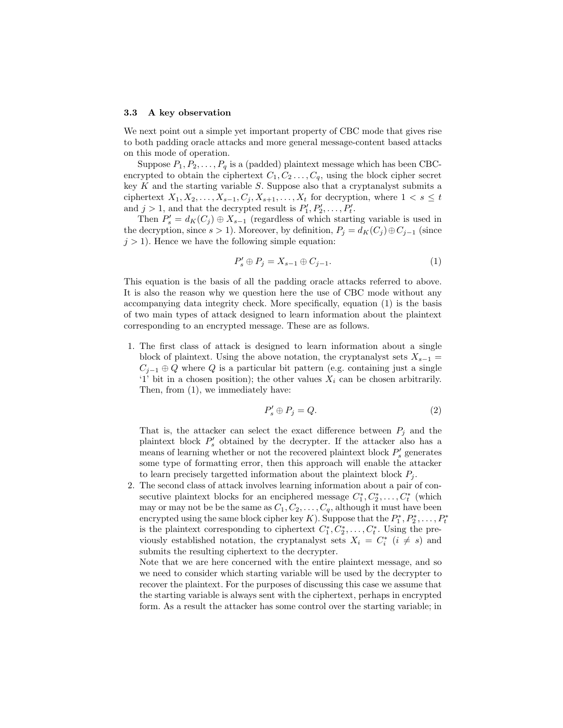#### 3.3 A key observation

We next point out a simple yet important property of CBC mode that gives rise to both padding oracle attacks and more general message-content based attacks on this mode of operation.

Suppose  $P_1, P_2, \ldots, P_q$  is a (padded) plaintext message which has been CBCencrypted to obtain the ciphertext  $C_1, C_2, \ldots, C_q$ , using the block cipher secret key  $K$  and the starting variable  $S$ . Suppose also that a cryptanalyst submits a ciphertext  $X_1, X_2, \ldots, X_{s-1}, C_i, X_{s+1}, \ldots, X_t$  for decryption, where  $1 < s \leq t$ and  $j > 1$ , and that the decrypted result is  $P'_1, P'_2, \ldots, P'_t$ .

Then  $P'_s = d_K(C_j) \oplus X_{s-1}$  (regardless of which starting variable is used in the decryption, since  $s > 1$ ). Moreover, by definition,  $P_j = d_K(C_j) \oplus C_{j-1}$  (since  $j > 1$ ). Hence we have the following simple equation:

$$
P'_s \oplus P_j = X_{s-1} \oplus C_{j-1}.\tag{1}
$$

This equation is the basis of all the padding oracle attacks referred to above. It is also the reason why we question here the use of CBC mode without any accompanying data integrity check. More specifically, equation (1) is the basis of two main types of attack designed to learn information about the plaintext corresponding to an encrypted message. These are as follows.

1. The first class of attack is designed to learn information about a single block of plaintext. Using the above notation, the cryptanalyst sets  $X_{s-1}$  =  $C_{j-1} \oplus Q$  where Q is a particular bit pattern (e.g. containing just a single '1' bit in a chosen position); the other values  $X_i$  can be chosen arbitrarily. Then, from (1), we immediately have:

$$
P'_s \oplus P_j = Q. \tag{2}
$$

That is, the attacker can select the exact difference between  $P_i$  and the plaintext block  $P'_s$  obtained by the decrypter. If the attacker also has a means of learning whether or not the recovered plaintext block  $P'_s$  generates some type of formatting error, then this approach will enable the attacker to learn precisely targetted information about the plaintext block  $P_i$ .

2. The second class of attack involves learning information about a pair of consecutive plaintext blocks for an enciphered message  $C_1^*, C_2^*, \ldots, C_t^*$  (which may or may not be be the same as  $C_1, C_2, \ldots, C_q$ , although it must have been encrypted using the same block cipher key K). Suppose that the  $P_1^*, P_2^*, \ldots, P_t^*$ is the plaintext corresponding to ciphertext  $C_1^*, C_2^*, \ldots, C_t^*$ . Using the previously established notation, the cryptanalyst sets  $X_i = C_i^*$  ( $i \neq s$ ) and submits the resulting ciphertext to the decrypter.

Note that we are here concerned with the entire plaintext message, and so we need to consider which starting variable will be used by the decrypter to recover the plaintext. For the purposes of discussing this case we assume that the starting variable is always sent with the ciphertext, perhaps in encrypted form. As a result the attacker has some control over the starting variable; in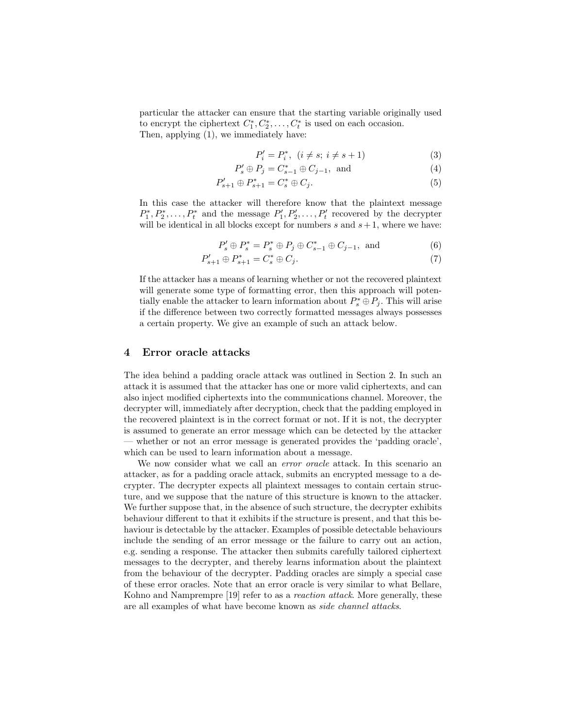particular the attacker can ensure that the starting variable originally used to encrypt the ciphertext  $C_1^*, C_2^*, \ldots, C_t^*$  is used on each occasion. Then, applying (1), we immediately have:

$$
P'_{i} = P_{i}^{*}, \ (i \neq s; \ i \neq s + 1)
$$
 (3)

$$
P'_s \oplus P_j = C_{s-1}^* \oplus C_{j-1}, \text{ and } (4)
$$

$$
P'_{s+1} \oplus P^*_{s+1} = C^*_s \oplus C_j.
$$
 (5)

In this case the attacker will therefore know that the plaintext message  $P_1^*, P_2^*, \ldots, P_t^*$  and the message  $P'_1, P'_2, \ldots, P'_t$  recovered by the decrypter will be identical in all blocks except for numbers s and  $s+1$ , where we have:

$$
P'_s \oplus P^*_s = P^*_s \oplus P_j \oplus C^*_{s-1} \oplus C_{j-1}, \text{ and } (6)
$$

$$
P'_{s+1} \oplus P^*_{s+1} = C^*_s \oplus C_j. \tag{7}
$$

If the attacker has a means of learning whether or not the recovered plaintext will generate some type of formatting error, then this approach will potentially enable the attacker to learn information about  $P_s^* \oplus P_j$ . This will arise if the difference between two correctly formatted messages always possesses a certain property. We give an example of such an attack below.

# 4 Error oracle attacks

The idea behind a padding oracle attack was outlined in Section 2. In such an attack it is assumed that the attacker has one or more valid ciphertexts, and can also inject modified ciphertexts into the communications channel. Moreover, the decrypter will, immediately after decryption, check that the padding employed in the recovered plaintext is in the correct format or not. If it is not, the decrypter is assumed to generate an error message which can be detected by the attacker — whether or not an error message is generated provides the 'padding oracle', which can be used to learn information about a message.

We now consider what we call an *error oracle* attack. In this scenario an attacker, as for a padding oracle attack, submits an encrypted message to a decrypter. The decrypter expects all plaintext messages to contain certain structure, and we suppose that the nature of this structure is known to the attacker. We further suppose that, in the absence of such structure, the decrypter exhibits behaviour different to that it exhibits if the structure is present, and that this behaviour is detectable by the attacker. Examples of possible detectable behaviours include the sending of an error message or the failure to carry out an action, e.g. sending a response. The attacker then submits carefully tailored ciphertext messages to the decrypter, and thereby learns information about the plaintext from the behaviour of the decrypter. Padding oracles are simply a special case of these error oracles. Note that an error oracle is very similar to what Bellare, Kohno and Namprempre [19] refer to as a *reaction attack*. More generally, these are all examples of what have become known as side channel attacks.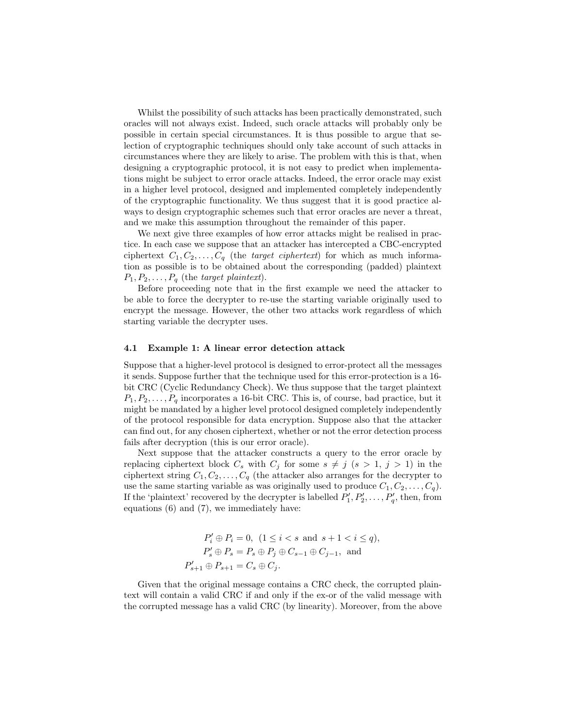Whilst the possibility of such attacks has been practically demonstrated, such oracles will not always exist. Indeed, such oracle attacks will probably only be possible in certain special circumstances. It is thus possible to argue that selection of cryptographic techniques should only take account of such attacks in circumstances where they are likely to arise. The problem with this is that, when designing a cryptographic protocol, it is not easy to predict when implementations might be subject to error oracle attacks. Indeed, the error oracle may exist in a higher level protocol, designed and implemented completely independently of the cryptographic functionality. We thus suggest that it is good practice always to design cryptographic schemes such that error oracles are never a threat, and we make this assumption throughout the remainder of this paper.

We next give three examples of how error attacks might be realised in practice. In each case we suppose that an attacker has intercepted a CBC-encrypted ciphertext  $C_1, C_2, \ldots, C_q$  (the *target ciphertext*) for which as much information as possible is to be obtained about the corresponding (padded) plaintext  $P_1, P_2, \ldots, P_q$  (the target plaintext).

Before proceeding note that in the first example we need the attacker to be able to force the decrypter to re-use the starting variable originally used to encrypt the message. However, the other two attacks work regardless of which starting variable the decrypter uses.

#### 4.1 Example 1: A linear error detection attack

Suppose that a higher-level protocol is designed to error-protect all the messages it sends. Suppose further that the technique used for this error-protection is a 16 bit CRC (Cyclic Redundancy Check). We thus suppose that the target plaintext  $P_1, P_2, \ldots, P_q$  incorporates a 16-bit CRC. This is, of course, bad practice, but it might be mandated by a higher level protocol designed completely independently of the protocol responsible for data encryption. Suppose also that the attacker can find out, for any chosen ciphertext, whether or not the error detection process fails after decryption (this is our error oracle).

Next suppose that the attacker constructs a query to the error oracle by replacing ciphertext block  $C_s$  with  $C_j$  for some  $s \neq j$   $(s > 1, j > 1)$  in the ciphertext string  $C_1, C_2, \ldots, C_q$  (the attacker also arranges for the decrypter to use the same starting variable as was originally used to produce  $C_1, C_2, \ldots, C_q$ . If the 'plaintext' recovered by the decrypter is labelled  $P'_1, P'_2, \ldots, P'_q$ , then, from equations (6) and (7), we immediately have:

$$
P'_i \oplus P_i = 0, \ (1 \leq i < s \text{ and } s + 1 < i \leq q),
$$
\n
$$
P'_s \oplus P_s = P_s \oplus P_j \oplus C_{s-1} \oplus C_{j-1}, \text{ and}
$$
\n
$$
P'_{s+1} \oplus P_{s+1} = C_s \oplus C_j.
$$

Given that the original message contains a CRC check, the corrupted plaintext will contain a valid CRC if and only if the ex-or of the valid message with the corrupted message has a valid CRC (by linearity). Moreover, from the above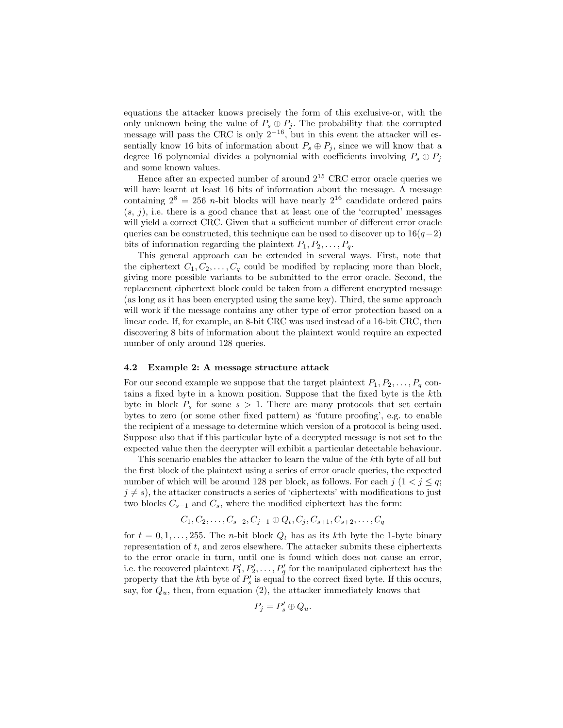equations the attacker knows precisely the form of this exclusive-or, with the only unknown being the value of  $P_s \oplus P_j$ . The probability that the corrupted message will pass the CRC is only  $2^{-16}$ , but in this event the attacker will essentially know 16 bits of information about  $P_s \oplus P_j$ , since we will know that a degree 16 polynomial divides a polynomial with coefficients involving  $P_s \oplus P_j$ and some known values.

Hence after an expected number of around  $2^{15}$  CRC error oracle queries we will have learnt at least 16 bits of information about the message. A message containing  $2^8 = 256$  *n*-bit blocks will have nearly  $2^{16}$  candidate ordered pairs  $(s, j)$ , i.e. there is a good chance that at least one of the 'corrupted' messages will yield a correct CRC. Given that a sufficient number of different error oracle queries can be constructed, this technique can be used to discover up to  $16(q-2)$ bits of information regarding the plaintext  $P_1, P_2, \ldots, P_q$ .

This general approach can be extended in several ways. First, note that the ciphertext  $C_1, C_2, \ldots, C_q$  could be modified by replacing more than block, giving more possible variants to be submitted to the error oracle. Second, the replacement ciphertext block could be taken from a different encrypted message (as long as it has been encrypted using the same key). Third, the same approach will work if the message contains any other type of error protection based on a linear code. If, for example, an 8-bit CRC was used instead of a 16-bit CRC, then discovering 8 bits of information about the plaintext would require an expected number of only around 128 queries.

#### 4.2 Example 2: A message structure attack

For our second example we suppose that the target plaintext  $P_1, P_2, \ldots, P_q$  contains a fixed byte in a known position. Suppose that the fixed byte is the kth byte in block  $P_s$  for some  $s > 1$ . There are many protocols that set certain bytes to zero (or some other fixed pattern) as 'future proofing', e.g. to enable the recipient of a message to determine which version of a protocol is being used. Suppose also that if this particular byte of a decrypted message is not set to the expected value then the decrypter will exhibit a particular detectable behaviour.

This scenario enables the attacker to learn the value of the kth byte of all but the first block of the plaintext using a series of error oracle queries, the expected number of which will be around 128 per block, as follows. For each  $j \ (1 \lt j \leq q;$  $j \neq s$ , the attacker constructs a series of 'ciphertexts' with modifications to just two blocks  $C_{s-1}$  and  $C_s$ , where the modified ciphertext has the form:

$$
C_1, C_2, \ldots, C_{s-2}, C_{j-1} \oplus Q_t, C_j, C_{s+1}, C_{s+2}, \ldots, C_q
$$

for  $t = 0, 1, \ldots, 255$ . The *n*-bit block  $Q_t$  has as its kth byte the 1-byte binary representation of  $t$ , and zeros elsewhere. The attacker submits these ciphertexts to the error oracle in turn, until one is found which does not cause an error, i.e. the recovered plaintext  $P'_1, P'_2, \ldots, P'_q$  for the manipulated ciphertext has the property that the k<sup>th</sup> byte of  $P'_s$  is equal to the correct fixed byte. If this occurs, say, for  $Q_u$ , then, from equation (2), the attacker immediately knows that

$$
P_j = P'_s \oplus Q_u.
$$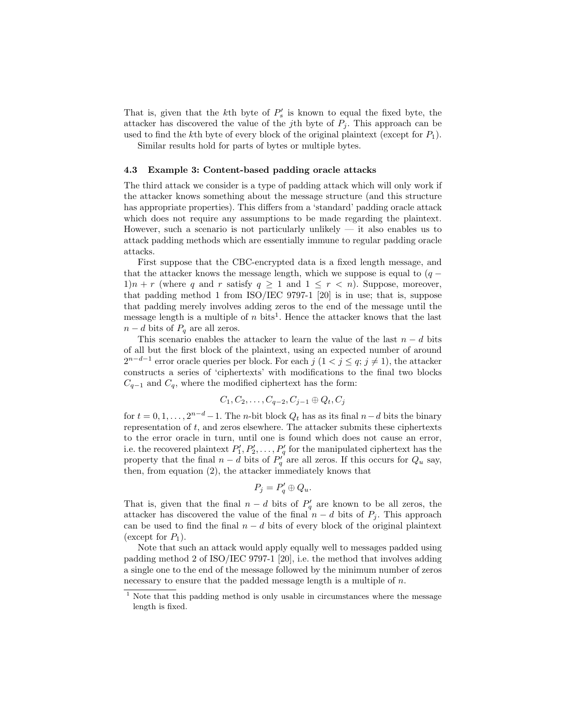That is, given that the k<sup>th</sup> byte of  $P'_s$  is known to equal the fixed byte, the attacker has discovered the value of the jth byte of  $P_j$ . This approach can be used to find the kth byte of every block of the original plaintext (except for  $P_1$ ).

Similar results hold for parts of bytes or multiple bytes.

### 4.3 Example 3: Content-based padding oracle attacks

The third attack we consider is a type of padding attack which will only work if the attacker knows something about the message structure (and this structure has appropriate properties). This differs from a 'standard' padding oracle attack which does not require any assumptions to be made regarding the plaintext. However, such a scenario is not particularly unlikely  $-$  it also enables us to attack padding methods which are essentially immune to regular padding oracle attacks.

First suppose that the CBC-encrypted data is a fixed length message, and that the attacker knows the message length, which we suppose is equal to  $(q 1/n + r$  (where q and r satisfy  $q \ge 1$  and  $1 \le r \le n$ ). Suppose, moreover, that padding method 1 from ISO/IEC 9797-1 [20] is in use; that is, suppose that padding merely involves adding zeros to the end of the message until the message length is a multiple of  $n$  bits<sup>1</sup>. Hence the attacker knows that the last  $n - d$  bits of  $P_q$  are all zeros.

This scenario enables the attacker to learn the value of the last  $n - d$  bits of all but the first block of the plaintext, using an expected number of around  $2^{n-d-1}$  error oracle queries per block. For each  $j$   $(1 \lt j \leq q; j \neq 1)$ , the attacker constructs a series of 'ciphertexts' with modifications to the final two blocks  $C_{q-1}$  and  $C_q$ , where the modified ciphertext has the form:

$$
C_1, C_2, \ldots, C_{q-2}, C_{j-1} \oplus Q_t, C_j
$$

for  $t = 0, 1, \ldots, 2^{n-d} - 1$ . The *n*-bit block  $Q_t$  has as its final  $n-d$  bits the binary representation of  $t$ , and zeros elsewhere. The attacker submits these ciphertexts to the error oracle in turn, until one is found which does not cause an error, i.e. the recovered plaintext  $P'_1, P'_2, \ldots, P'_q$  for the manipulated ciphertext has the property that the final  $n - d$  bits of  $P'^{T}_{q}$  are all zeros. If this occurs for  $Q_u$  say, then, from equation (2), the attacker immediately knows that

$$
P_j = P'_q \oplus Q_u.
$$

That is, given that the final  $n - d$  bits of  $P'_q$  are known to be all zeros, the attacker has discovered the value of the final  $n - d$  bits of  $P_j$ . This approach can be used to find the final  $n - d$  bits of every block of the original plaintext (except for  $P_1$ ).

Note that such an attack would apply equally well to messages padded using padding method 2 of ISO/IEC 9797-1 [20], i.e. the method that involves adding a single one to the end of the message followed by the minimum number of zeros necessary to ensure that the padded message length is a multiple of  $n$ .

 $1$  Note that this padding method is only usable in circumstances where the message length is fixed.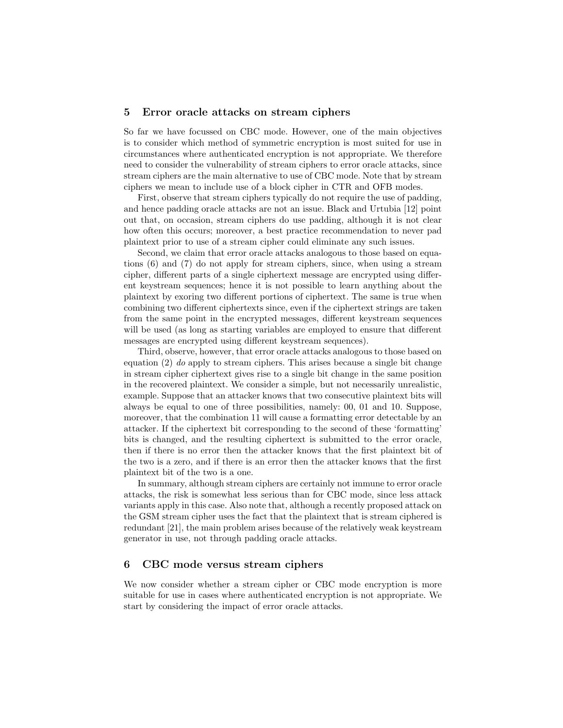## 5 Error oracle attacks on stream ciphers

So far we have focussed on CBC mode. However, one of the main objectives is to consider which method of symmetric encryption is most suited for use in circumstances where authenticated encryption is not appropriate. We therefore need to consider the vulnerability of stream ciphers to error oracle attacks, since stream ciphers are the main alternative to use of CBC mode. Note that by stream ciphers we mean to include use of a block cipher in CTR and OFB modes.

First, observe that stream ciphers typically do not require the use of padding, and hence padding oracle attacks are not an issue. Black and Urtubia [12] point out that, on occasion, stream ciphers do use padding, although it is not clear how often this occurs; moreover, a best practice recommendation to never pad plaintext prior to use of a stream cipher could eliminate any such issues.

Second, we claim that error oracle attacks analogous to those based on equations (6) and (7) do not apply for stream ciphers, since, when using a stream cipher, different parts of a single ciphertext message are encrypted using different keystream sequences; hence it is not possible to learn anything about the plaintext by exoring two different portions of ciphertext. The same is true when combining two different ciphertexts since, even if the ciphertext strings are taken from the same point in the encrypted messages, different keystream sequences will be used (as long as starting variables are employed to ensure that different messages are encrypted using different keystream sequences).

Third, observe, however, that error oracle attacks analogous to those based on equation (2) do apply to stream ciphers. This arises because a single bit change in stream cipher ciphertext gives rise to a single bit change in the same position in the recovered plaintext. We consider a simple, but not necessarily unrealistic, example. Suppose that an attacker knows that two consecutive plaintext bits will always be equal to one of three possibilities, namely: 00, 01 and 10. Suppose, moreover, that the combination 11 will cause a formatting error detectable by an attacker. If the ciphertext bit corresponding to the second of these 'formatting' bits is changed, and the resulting ciphertext is submitted to the error oracle, then if there is no error then the attacker knows that the first plaintext bit of the two is a zero, and if there is an error then the attacker knows that the first plaintext bit of the two is a one.

In summary, although stream ciphers are certainly not immune to error oracle attacks, the risk is somewhat less serious than for CBC mode, since less attack variants apply in this case. Also note that, although a recently proposed attack on the GSM stream cipher uses the fact that the plaintext that is stream ciphered is redundant [21], the main problem arises because of the relatively weak keystream generator in use, not through padding oracle attacks.

## 6 CBC mode versus stream ciphers

We now consider whether a stream cipher or CBC mode encryption is more suitable for use in cases where authenticated encryption is not appropriate. We start by considering the impact of error oracle attacks.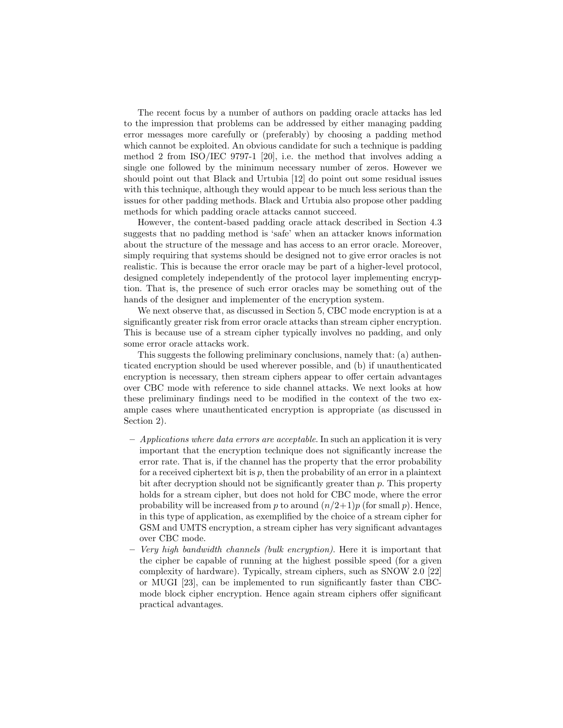The recent focus by a number of authors on padding oracle attacks has led to the impression that problems can be addressed by either managing padding error messages more carefully or (preferably) by choosing a padding method which cannot be exploited. An obvious candidate for such a technique is padding method 2 from ISO/IEC 9797-1 [20], i.e. the method that involves adding a single one followed by the minimum necessary number of zeros. However we should point out that Black and Urtubia [12] do point out some residual issues with this technique, although they would appear to be much less serious than the issues for other padding methods. Black and Urtubia also propose other padding methods for which padding oracle attacks cannot succeed.

However, the content-based padding oracle attack described in Section 4.3 suggests that no padding method is 'safe' when an attacker knows information about the structure of the message and has access to an error oracle. Moreover, simply requiring that systems should be designed not to give error oracles is not realistic. This is because the error oracle may be part of a higher-level protocol, designed completely independently of the protocol layer implementing encryption. That is, the presence of such error oracles may be something out of the hands of the designer and implementer of the encryption system.

We next observe that, as discussed in Section 5, CBC mode encryption is at a significantly greater risk from error oracle attacks than stream cipher encryption. This is because use of a stream cipher typically involves no padding, and only some error oracle attacks work.

This suggests the following preliminary conclusions, namely that: (a) authenticated encryption should be used wherever possible, and (b) if unauthenticated encryption is necessary, then stream ciphers appear to offer certain advantages over CBC mode with reference to side channel attacks. We next looks at how these preliminary findings need to be modified in the context of the two example cases where unauthenticated encryption is appropriate (as discussed in Section 2).

- $-$  Applications where data errors are acceptable. In such an application it is very important that the encryption technique does not significantly increase the error rate. That is, if the channel has the property that the error probability for a received ciphertext bit is  $p$ , then the probability of an error in a plaintext bit after decryption should not be significantly greater than p. This property holds for a stream cipher, but does not hold for CBC mode, where the error probability will be increased from p to around  $(n/2+1)p$  (for small p). Hence, in this type of application, as exemplified by the choice of a stream cipher for GSM and UMTS encryption, a stream cipher has very significant advantages over CBC mode.
- $-$  Very high bandwidth channels (bulk encryption). Here it is important that the cipher be capable of running at the highest possible speed (for a given complexity of hardware). Typically, stream ciphers, such as SNOW 2.0 [22] or MUGI [23], can be implemented to run significantly faster than CBCmode block cipher encryption. Hence again stream ciphers offer significant practical advantages.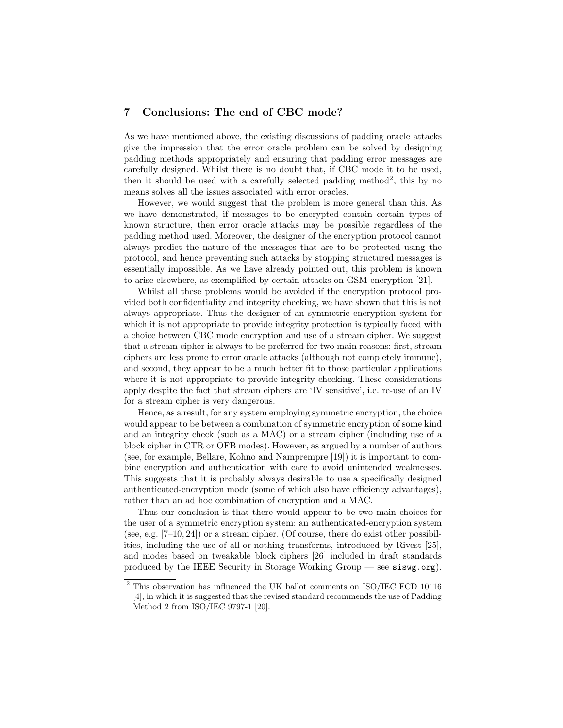# 7 Conclusions: The end of CBC mode?

As we have mentioned above, the existing discussions of padding oracle attacks give the impression that the error oracle problem can be solved by designing padding methods appropriately and ensuring that padding error messages are carefully designed. Whilst there is no doubt that, if CBC mode it to be used, then it should be used with a carefully selected padding method<sup>2</sup>, this by no means solves all the issues associated with error oracles.

However, we would suggest that the problem is more general than this. As we have demonstrated, if messages to be encrypted contain certain types of known structure, then error oracle attacks may be possible regardless of the padding method used. Moreover, the designer of the encryption protocol cannot always predict the nature of the messages that are to be protected using the protocol, and hence preventing such attacks by stopping structured messages is essentially impossible. As we have already pointed out, this problem is known to arise elsewhere, as exemplified by certain attacks on GSM encryption [21].

Whilst all these problems would be avoided if the encryption protocol provided both confidentiality and integrity checking, we have shown that this is not always appropriate. Thus the designer of an symmetric encryption system for which it is not appropriate to provide integrity protection is typically faced with a choice between CBC mode encryption and use of a stream cipher. We suggest that a stream cipher is always to be preferred for two main reasons: first, stream ciphers are less prone to error oracle attacks (although not completely immune), and second, they appear to be a much better fit to those particular applications where it is not appropriate to provide integrity checking. These considerations apply despite the fact that stream ciphers are 'IV sensitive', i.e. re-use of an IV for a stream cipher is very dangerous.

Hence, as a result, for any system employing symmetric encryption, the choice would appear to be between a combination of symmetric encryption of some kind and an integrity check (such as a MAC) or a stream cipher (including use of a block cipher in CTR or OFB modes). However, as argued by a number of authors (see, for example, Bellare, Kohno and Namprempre [19]) it is important to combine encryption and authentication with care to avoid unintended weaknesses. This suggests that it is probably always desirable to use a specifically designed authenticated-encryption mode (some of which also have efficiency advantages), rather than an ad hoc combination of encryption and a MAC.

Thus our conclusion is that there would appear to be two main choices for the user of a symmetric encryption system: an authenticated-encryption system (see, e.g.  $[7-10, 24]$ ) or a stream cipher. (Of course, there do exist other possibilities, including the use of all-or-nothing transforms, introduced by Rivest [25], and modes based on tweakable block ciphers [26] included in draft standards produced by the IEEE Security in Storage Working Group — see siswg.org).

 $^2$  This observation has influenced the UK ballot comments on ISO/IEC FCD 10116  $\,$ [4], in which it is suggested that the revised standard recommends the use of Padding Method 2 from ISO/IEC 9797-1 [20].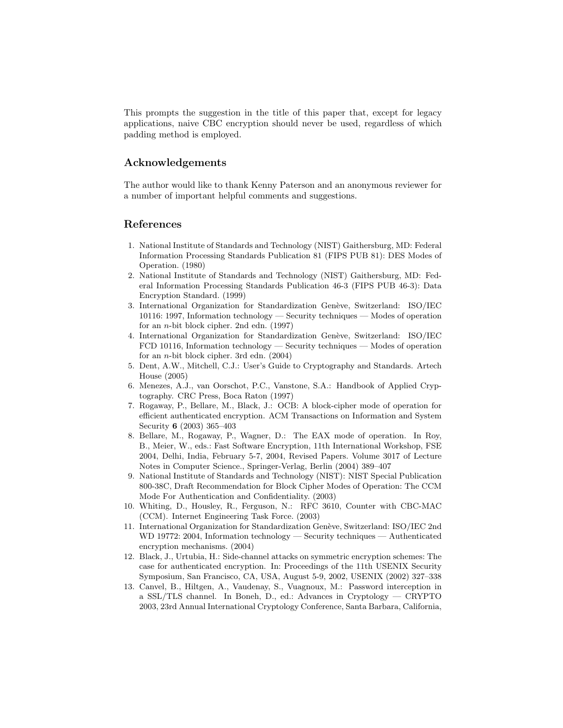This prompts the suggestion in the title of this paper that, except for legacy applications, naive CBC encryption should never be used, regardless of which padding method is employed.

# Acknowledgements

The author would like to thank Kenny Paterson and an anonymous reviewer for a number of important helpful comments and suggestions.

# References

- 1. National Institute of Standards and Technology (NIST) Gaithersburg, MD: Federal Information Processing Standards Publication 81 (FIPS PUB 81): DES Modes of Operation. (1980)
- 2. National Institute of Standards and Technology (NIST) Gaithersburg, MD: Federal Information Processing Standards Publication 46-3 (FIPS PUB 46-3): Data Encryption Standard. (1999)
- 3. International Organization for Standardization Gen`eve, Switzerland: ISO/IEC 10116: 1997, Information technology — Security techniques — Modes of operation for an n-bit block cipher. 2nd edn. (1997)
- 4. International Organization for Standardization Genève, Switzerland: ISO/IEC FCD 10116, Information technology — Security techniques — Modes of operation for an n-bit block cipher. 3rd edn. (2004)
- 5. Dent, A.W., Mitchell, C.J.: User's Guide to Cryptography and Standards. Artech House (2005)
- 6. Menezes, A.J., van Oorschot, P.C., Vanstone, S.A.: Handbook of Applied Cryptography. CRC Press, Boca Raton (1997)
- 7. Rogaway, P., Bellare, M., Black, J.: OCB: A block-cipher mode of operation for efficient authenticated encryption. ACM Transactions on Information and System Security 6 (2003) 365–403
- 8. Bellare, M., Rogaway, P., Wagner, D.: The EAX mode of operation. In Roy, B., Meier, W., eds.: Fast Software Encryption, 11th International Workshop, FSE 2004, Delhi, India, February 5-7, 2004, Revised Papers. Volume 3017 of Lecture Notes in Computer Science., Springer-Verlag, Berlin (2004) 389–407
- 9. National Institute of Standards and Technology (NIST): NIST Special Publication 800-38C, Draft Recommendation for Block Cipher Modes of Operation: The CCM Mode For Authentication and Confidentiality. (2003)
- 10. Whiting, D., Housley, R., Ferguson, N.: RFC 3610, Counter with CBC-MAC (CCM). Internet Engineering Task Force. (2003)
- 11. International Organization for Standardization Genève, Switzerland: ISO/IEC 2nd WD 19772: 2004, Information technology — Security techniques — Authenticated encryption mechanisms. (2004)
- 12. Black, J., Urtubia, H.: Side-channel attacks on symmetric encryption schemes: The case for authenticated encryption. In: Proceedings of the 11th USENIX Security Symposium, San Francisco, CA, USA, August 5-9, 2002, USENIX (2002) 327–338
- 13. Canvel, B., Hiltgen, A., Vaudenay, S., Vuagnoux, M.: Password interception in a SSL/TLS channel. In Boneh, D., ed.: Advances in Cryptology — CRYPTO 2003, 23rd Annual International Cryptology Conference, Santa Barbara, California,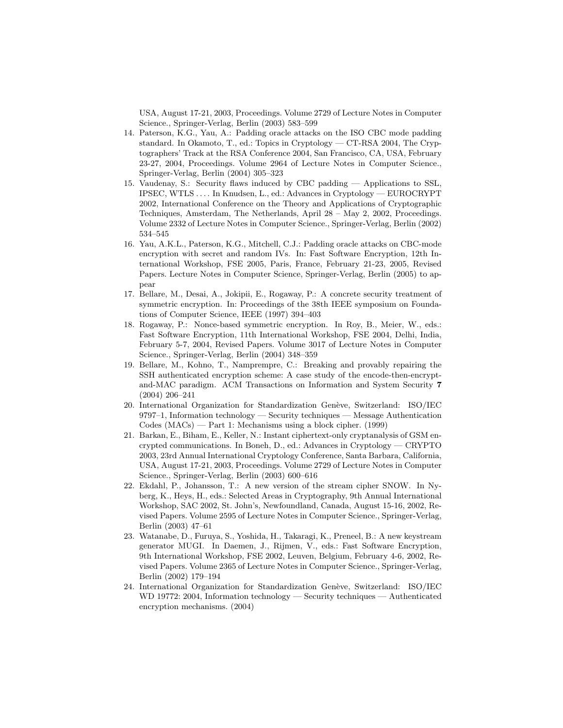USA, August 17-21, 2003, Proceedings. Volume 2729 of Lecture Notes in Computer Science., Springer-Verlag, Berlin (2003) 583–599

- 14. Paterson, K.G., Yau, A.: Padding oracle attacks on the ISO CBC mode padding standard. In Okamoto, T., ed.: Topics in Cryptology — CT-RSA 2004, The Cryptographers' Track at the RSA Conference 2004, San Francisco, CA, USA, February 23-27, 2004, Proceedings. Volume 2964 of Lecture Notes in Computer Science., Springer-Verlag, Berlin (2004) 305–323
- 15. Vaudenay, S.: Security flaws induced by CBC padding Applications to SSL, IPSEC, WTLS . . . . In Knudsen, L., ed.: Advances in Cryptology — EUROCRYPT 2002, International Conference on the Theory and Applications of Cryptographic Techniques, Amsterdam, The Netherlands, April 28 – May 2, 2002, Proceedings. Volume 2332 of Lecture Notes in Computer Science., Springer-Verlag, Berlin (2002) 534–545
- 16. Yau, A.K.L., Paterson, K.G., Mitchell, C.J.: Padding oracle attacks on CBC-mode encryption with secret and random IVs. In: Fast Software Encryption, 12th International Workshop, FSE 2005, Paris, France, February 21-23, 2005, Revised Papers. Lecture Notes in Computer Science, Springer-Verlag, Berlin (2005) to appear
- 17. Bellare, M., Desai, A., Jokipii, E., Rogaway, P.: A concrete security treatment of symmetric encryption. In: Proceedings of the 38th IEEE symposium on Foundations of Computer Science, IEEE (1997) 394–403
- 18. Rogaway, P.: Nonce-based symmetric encryption. In Roy, B., Meier, W., eds.: Fast Software Encryption, 11th International Workshop, FSE 2004, Delhi, India, February 5-7, 2004, Revised Papers. Volume 3017 of Lecture Notes in Computer Science., Springer-Verlag, Berlin (2004) 348–359
- 19. Bellare, M., Kohno, T., Namprempre, C.: Breaking and provably repairing the SSH authenticated encryption scheme: A case study of the encode-then-encryptand-MAC paradigm. ACM Transactions on Information and System Security 7 (2004) 206–241
- 20. International Organization for Standardization Genève, Switzerland: ISO/IEC 9797–1, Information technology — Security techniques — Message Authentication Codes (MACs) — Part 1: Mechanisms using a block cipher. (1999)
- 21. Barkan, E., Biham, E., Keller, N.: Instant ciphertext-only cryptanalysis of GSM encrypted communications. In Boneh, D., ed.: Advances in Cryptology — CRYPTO 2003, 23rd Annual International Cryptology Conference, Santa Barbara, California, USA, August 17-21, 2003, Proceedings. Volume 2729 of Lecture Notes in Computer Science., Springer-Verlag, Berlin (2003) 600–616
- 22. Ekdahl, P., Johansson, T.: A new version of the stream cipher SNOW. In Nyberg, K., Heys, H., eds.: Selected Areas in Cryptography, 9th Annual International Workshop, SAC 2002, St. John's, Newfoundland, Canada, August 15-16, 2002, Revised Papers. Volume 2595 of Lecture Notes in Computer Science., Springer-Verlag, Berlin (2003) 47–61
- 23. Watanabe, D., Furuya, S., Yoshida, H., Takaragi, K., Preneel, B.: A new keystream generator MUGI. In Daemen, J., Rijmen, V., eds.: Fast Software Encryption, 9th International Workshop, FSE 2002, Leuven, Belgium, February 4-6, 2002, Revised Papers. Volume 2365 of Lecture Notes in Computer Science., Springer-Verlag, Berlin (2002) 179–194
- 24. International Organization for Standardization Genève, Switzerland: ISO/IEC WD 19772: 2004, Information technology — Security techniques — Authenticated encryption mechanisms. (2004)